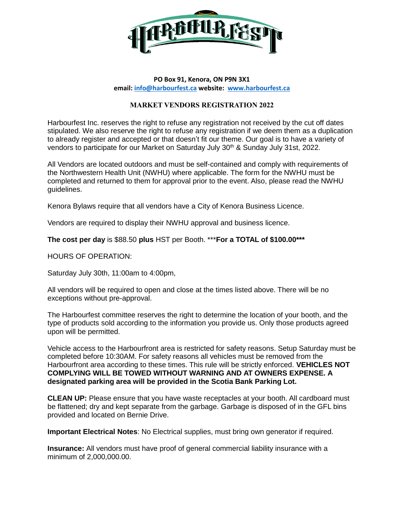

## **PO Box 91, Kenora, ON P9N 3X1 email[: info@harbourfest.ca](mailto:info@harbourfest.ca) website: [www.harbourfest.ca](http://www.harbourfest.ca/)**

## **MARKET VENDORS REGISTRATION 2022**

Harbourfest Inc. reserves the right to refuse any registration not received by the cut off dates stipulated. We also reserve the right to refuse any registration if we deem them as a duplication to already register and accepted or that doesn't fit our theme. Our goal is to have a variety of vendors to participate for our Market on Saturday July  $30<sup>th</sup>$  & Sunday July 31st, 2022.

All Vendors are located outdoors and must be self-contained and comply with requirements of the Northwestern Health Unit (NWHU) where applicable. The form for the NWHU must be completed and returned to them for approval prior to the event. Also, please read the NWHU guidelines.

Kenora Bylaws require that all vendors have a City of Kenora Business Licence.

Vendors are required to display their NWHU approval and business licence.

**The cost per day** is \$88.50 **plus** HST per Booth. \*\*\***For a TOTAL of \$100.00\*\*\***

HOURS OF OPERATION:

Saturday July 30th, 11:00am to 4:00pm,

All vendors will be required to open and close at the times listed above. There will be no exceptions without pre-approval.

The Harbourfest committee reserves the right to determine the location of your booth, and the type of products sold according to the information you provide us. Only those products agreed upon will be permitted.

Vehicle access to the Harbourfront area is restricted for safety reasons. Setup Saturday must be completed before 10:30AM. For safety reasons all vehicles must be removed from the Harbourfront area according to these times. This rule will be strictly enforced. **VEHICLES NOT COMPLYING WILL BE TOWED WITHOUT WARNING AND AT OWNERS EXPENSE. A designated parking area will be provided in the Scotia Bank Parking Lot.**

**CLEAN UP:** Please ensure that you have waste receptacles at your booth. All cardboard must be flattened; dry and kept separate from the garbage. Garbage is disposed of in the GFL bins provided and located on Bernie Drive.

**Important Electrical Notes**: No Electrical supplies, must bring own generator if required.

**Insurance:** All vendors must have proof of general commercial liability insurance with a minimum of 2,000,000.00.